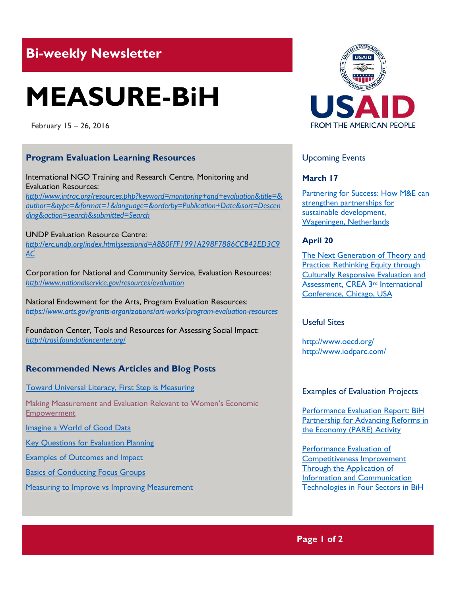## **Bi-weekly Newsletter**

# **MEASURE-BiH**

February 15 – 26, 2016

#### **Program Evaluation Learning Resources**

International NGO Training and Research Centre, Monitoring and Evaluation Resources: *http://www.intrac.org/resources.php?keyword=monitoring+and+evaluation&title=& author=&type=&format=1&language=&orderby=Publication+Date&sort=Descen ding&action=search&submitted=Search*

#### UNDP Evaluation Resource Centre:

*http://erc.undp.org/index.html;jsessionid=A8B0FFF1991A298F7886CCB42ED3C9 AC*

Corporation for National and Community Service, Evaluation Resources: *http://www.nationalservice.gov/resources/evaluation*

National Endowment for the Arts, Program Evaluation Resources: *https://www.arts.gov/grants-organizations/art-works/program-evaluation-resources*

Foundation Center, Tools and Resources for Assessing Social Impact: *<http://trasi.foundationcenter.org/>*

### **Recommended News Articles and Blog Posts**

[Toward Universal Literacy, First Step is Measuring](http://www.cgdev.org/blog/toward-universal-literacy-first-step-measuring)

[Making Measurement and Evaluation Relevant to Women's Economic](http://www.cgdev.org/blog/making-measuring-and-evaluation-relevant-womens-economic-empowerment)  [Empowerment](http://www.cgdev.org/blog/making-measuring-and-evaluation-relevant-womens-economic-empowerment)

[Imagine a World of Good Data](http://ssir.org/articles/entry/imagine_a_world_of_good_data)

[Key Questions for Evaluation Planning](https://extension.arizona.edu/evaluation/sites/extension.arizona.edu.evaluation/files/docs/keyquest.pdf)

[Examples of Outcomes and Impact](https://extension.arizona.edu/evaluation/content/examples-outcomes-and-impacts)

[Basics of Conducting Focus Groups](http://managementhelp.org/businessresearch/focus-groups.htm)

**[Measuring to Improve vs Improving Measurement](http://www.bridgespan.org/Blogs/Measuring-to-Improve/May-2013/Measuring-to-Improve-vs-Improving-Measurement.aspx#.Vq8W47IrKM8)** 



#### Upcoming Events

#### **March 17**

Partnering for Success: How M&E can [strengthen partnerships for](http://mande.co.uk/conferences/?event_id1=23)  [sustainable development,](http://mande.co.uk/conferences/?event_id1=23)  [Wageningen, Netherlands](http://mande.co.uk/conferences/?event_id1=23)

#### **April 20**

[The Next Generation of Theory and](http://mande.co.uk/conferences/?event_id1=18)  [Practice: Rethinking Equity through](http://mande.co.uk/conferences/?event_id1=18)  [Culturally Responsive Evaluation and](http://mande.co.uk/conferences/?event_id1=18)  [Assessment, CREA 3](http://mande.co.uk/conferences/?event_id1=18)rd International [Conference, Chicago, USA](http://mande.co.uk/conferences/?event_id1=18)

#### Useful Sites

<http://www.oecd.org/> <http://www.iodparc.com/>

#### Examples of Evaluation Projects

[Performance Evaluation Report: BiH](http://pdf.usaid.gov/pdf_docs/PA00JP6T.pdf)  [Partnership for Advancing Reforms in](http://pdf.usaid.gov/pdf_docs/PA00JP6T.pdf)  [the Economy \(PARE\) Activity](http://pdf.usaid.gov/pdf_docs/PA00JP6T.pdf)

[Performance Evaluation of](http://pdf.usaid.gov/pdf_docs/PA00JTWN.pdf)  [Competitiveness Improvement](http://pdf.usaid.gov/pdf_docs/PA00JTWN.pdf)  [Through the Application of](http://pdf.usaid.gov/pdf_docs/PA00JTWN.pdf)  [Information and Communication](http://pdf.usaid.gov/pdf_docs/PA00JTWN.pdf)  [Technologies in Four Sectors in BiH](http://pdf.usaid.gov/pdf_docs/PA00JTWN.pdf)

**Page 1 of 2**